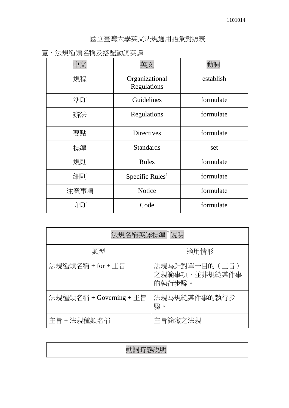國立臺灣大學英文法規通用語彙對照表

壹、法規種類名稱及搭配動詞英譯

| 規程   | Organizational<br>Regulations | establish |
|------|-------------------------------|-----------|
| 準則   | Guidelines                    | formulate |
| 辦法   | Regulations                   | formulate |
| 要點   | <b>Directives</b>             | formulate |
| 標準   | <b>Standards</b>              | set       |
| 規則   | Rules                         | formulate |
| 細則   | Specific Rules <sup>1</sup>   | formulate |
| 注意事項 | <b>Notice</b>                 | formulate |
| 守則   | Code                          | formulate |

| 法規名稱英譯標準 <sup>2</sup> 說明 |                                           |  |
|--------------------------|-------------------------------------------|--|
| 類型                       | 適用情形                                      |  |
| 法規種類名稱 + for + 主旨        | 法規為針對單一目的 (主旨)<br>之規範事項,並非規範某件事<br>的執行步驟。 |  |
| 法規種類名稱 + Governing + 主旨  | 法規為規範某件事的執行步<br>驟。                        |  |
| 主旨 + 法規種類名稱              | 主旨簡潔之法規                                   |  |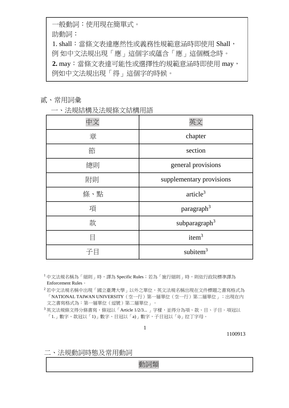一般動詞:使用現在簡單式。

助動詞:

1. shall:當條文表達應然性或義務性規範意涵時即使用 Shall, 例 如中文法規出現「應」這個字或蘊含「應」這個概念時。 2. may:當條文表達可能性或選擇性的規範意涵時即使用 may, 例如中文法規出現「得」這個字的時候。

## 貳、常用詞彙

一、法規結構及法規條文結構用語

| 章   | chapter                   |
|-----|---------------------------|
| 節   | section                   |
| 總則  | general provisions        |
| 附則  | supplementary provisions  |
| 條、點 | article <sup>3</sup>      |
| 項   | paragraph <sup>3</sup>    |
| 款   | subparagraph <sup>3</sup> |
| E   | item $3$                  |
|     | subitem $3$               |

<sup>1</sup>中文法規名稱為「細則」時,譯為 Specific Rules;若為「施行細則」時,則依行政院標準譯為 Enforcement Rules。

<sup>2</sup>若中文法規名稱中出現「國立臺灣大學」以外之單位,英文法規名稱出現在文件標題之書寫格式為 「NATIONAL TAIWAN UNIVERSITY(空一行)第一層單位(空一行)第二層單位」;出現在內 文之書寫格式為:第一層單位(逗號)第二層單位」。

<sup>3</sup>英文法規條文得分條書寫,條冠以「Article 1/2/3... 」字樣,並得分為項、款、目、子目。項冠以 「1.」數字、款冠以「1)」數字、目冠以「a)」數字,子目冠以「i)」拉丁字母。

1

1100913

二、法規動詞時態及常用動詞

動詞類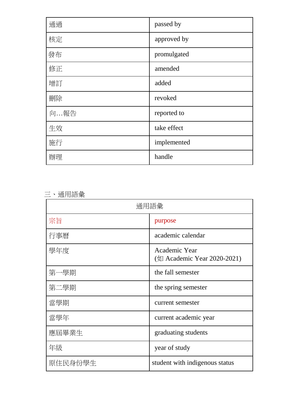| 通過  | passed by   |
|-----|-------------|
| 核定  | approved by |
| 發布  | promulgated |
| 修正  | amended     |
| 增訂  | added       |
| 刪除  | revoked     |
| 向報告 | reported to |
| 生效  | take effect |
| 施行  | implemented |
| 辦理  | handle      |

三、通用語彙

| 通用語彙    |                                              |
|---------|----------------------------------------------|
| 宗旨      | purpose                                      |
| 行事曆     | academic calendar                            |
| 學年度     | Academic Year<br>(如 Academic Year 2020-2021) |
| 第一學期    | the fall semester                            |
| 第二學期    | the spring semester                          |
| 當學期     | current semester                             |
| 當學年     | current academic year                        |
| 應屆畢業生   | graduating students                          |
| 年級      | year of study                                |
| 原住民身份學生 | student with indigenous status               |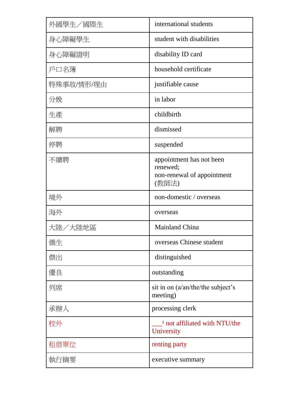| 外國學生/國際生   | international students                                                      |
|------------|-----------------------------------------------------------------------------|
| 身心障礙學生     | student with disabilities                                                   |
| 身心障礙證明     | disability ID card                                                          |
| 戶口名簿       | household certificate                                                       |
| 特殊事故/情形/理由 | justifiable cause                                                           |
| 分娩         | in labor                                                                    |
| 生產         | childbirth                                                                  |
| 解聘         | dismissed                                                                   |
| 停聘         | suspended                                                                   |
| 不續聘        | appointment has not been<br>renewed;<br>non-renewal of appointment<br>(教師法) |
| 境外         | non-domestic / overseas                                                     |
| 海外         | overseas                                                                    |
| 大陸/大陸地區    | <b>Mainland China</b>                                                       |
| 僑生         | overseas Chinese student                                                    |
| 傑出         | distinguished                                                               |
| 優良         | outstanding                                                                 |
| 列席         | sit in on (a/an/the/the subject's<br>meeting)                               |
| 承辦人        | processing clerk                                                            |
| 校外         | <sup>1</sup> not affiliated with NTU/the<br>University                      |
| 租借單位       | renting party                                                               |
| 執行摘要       | executive summary                                                           |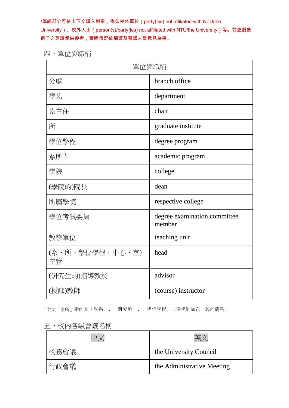1底線部分可依上下文填入對象,例如校外單位(party(ies) not affiliated with NTU/the University)、校外人士(person(s)/party(ies) not affiliated with NTU/the University)等。前述對象 例子之英譯僅供參考,實際情況依翻譯及審議人員意見為準。

四、單位與職稱

| 單位與職稱                 |                                        |  |
|-----------------------|----------------------------------------|--|
| 分處                    | branch office                          |  |
| 學系                    | department                             |  |
| 系主任                   | chair                                  |  |
| 所                     | graduate institute                     |  |
| 學位學程                  | degree program                         |  |
| 系所 $1$                | academic program                       |  |
| 學院                    | college                                |  |
| (學院的)院長               | dean                                   |  |
| 所屬學院                  | respective college                     |  |
| 學位考試委員                | degree examination committee<br>member |  |
| 教學單位                  | teaching unit                          |  |
| (系、所、學位學程、中心、室)<br>主管 | head                                   |  |
| (研究生的)指導教授            | advisor                                |  |
| (授課)教師                | (course) instructor                    |  |

<sup>1</sup>中文「系所」指的是「學系」、「研究所」、「學位學程」三個學制加在一起的簡稱。

|  |  | 五、校內各級會議名稱 |
|--|--|------------|
|--|--|------------|

| 校務會議 | the University Council     |
|------|----------------------------|
| 行政會議 | the Administrative Meeting |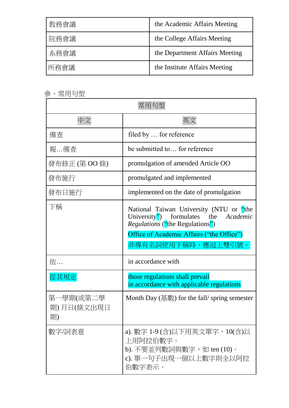| 教務會議 | the Academic Affairs Meeting   |
|------|--------------------------------|
| 院務會議 | the College Affairs Meeting    |
| 系務會議 | the Department Affairs Meeting |
| 所務會議 | the Institute Affairs Meeting  |

參、常用句型

| 常用句型                          |                                                                                                                                                                                                 |  |
|-------------------------------|-------------------------------------------------------------------------------------------------------------------------------------------------------------------------------------------------|--|
| 中文                            | 英文                                                                                                                                                                                              |  |
| 備查                            | filed by  for reference                                                                                                                                                                         |  |
| 報…備查                          | be submitted to for reference                                                                                                                                                                   |  |
| 發布修正 (第 OO 條)                 | promulgation of amended Article OO                                                                                                                                                              |  |
| 發布施行                          | promulgated and implemented                                                                                                                                                                     |  |
| 發布日施行                         | implemented on the date of promulgation                                                                                                                                                         |  |
| 下稱                            | National Taiwan University (NTU or "the<br>formulates the Academic<br>University")<br><i>Regulations</i> ("the Regulations")<br>Office of Academic Affairs ("the Office")<br>非專有名詞使用下稱時,應冠上雙引號。 |  |
| 依                             | in accordance with                                                                                                                                                                              |  |
| 從其規定                          | those regulations shall prevail<br>in accordance with applicable regulations                                                                                                                    |  |
| 第一學期(或第二學<br>期)月日(條文出現日<br>期) | Month Day (基數) for the fall/ spring semester                                                                                                                                                    |  |
| 數字/詞表意                        | a). 數字 1-9 (含)以下用英文單字,10(含)以<br>上用阿拉伯數字。<br>b). 不要並列數詞與數字, 如 ten (10)。<br>c). 單一句子出現一個以上數字則全以阿拉<br>伯數字表示。                                                                                       |  |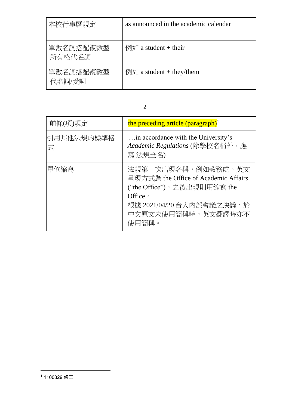| 本校行事曆規定             | as announced in the academic calendar         |
|---------------------|-----------------------------------------------|
| 單數名詞搭配複數型<br>所有格代名詞 | $\frac{1}{2}$ $\frac{1}{2}$ a student + their |
| 單數名詞搭配複數型<br>代名詞/受詞 | $\frac{1}{2}$ a student + they/them           |

| I<br>٠ |                   |  |
|--------|-------------------|--|
|        | I<br>I<br>I<br>۰, |  |
|        |                   |  |
|        |                   |  |

| 前條(項)規定         | the preceding article (paragraph) <sup>1</sup>                                                                                                                   |
|-----------------|------------------------------------------------------------------------------------------------------------------------------------------------------------------|
| 引用其他法規的標準格<br>式 | in accordance with the University's<br>Academic Regulations (除學校名稱外,應<br>寫 法規全名)                                                                                 |
| 單位縮寫            | 法規第一次出現名稱,例如教務處,英文<br>呈現方式為 the Office of Academic Affairs<br>("the Office"),之後出現則用縮寫 the<br>Office •<br>根據 2021/04/20台大內部會議之決議,於<br>中文原文未使用簡稱時,英文翻譯時亦不<br>使用簡稱。 |

 $\overline{a}$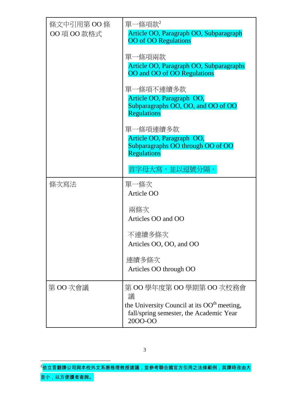| 條文中引用第 OO 條<br>OO 項 OO 款格式 | 單一條項款2<br>Article OO, Paragraph OO, Subparagraph<br><b>OO</b> of <b>OO</b> Regulations<br>單一條項兩款<br>Article OO, Paragraph OO, Subparagraphs<br>OO and OO of OO Regulations |
|----------------------------|----------------------------------------------------------------------------------------------------------------------------------------------------------------------------|
|                            | 單一條項不連續多款<br>Article OO, Paragraph OO,<br>Subparagraphs OO, OO, and OO of OO<br><b>Regulations</b>                                                                         |
|                            | 單一條項連續多款<br>Article OO, Paragraph OO,<br>Subparagraphs OO through OO of OO<br>Regulations<br>首字母大寫,並以逗號分隔。                                                                 |
| 條次寫法                       | 單一條次                                                                                                                                                                       |
|                            | Article OO                                                                                                                                                                 |
|                            | 兩條次<br>Articles OO and OO                                                                                                                                                  |
|                            | 不連續多條次<br>Articles OO, OO, and OO                                                                                                                                          |
|                            | 連續多條次<br>Articles OO through OO                                                                                                                                            |
| 第 00 次會議                   | 第 00 學年度第 00 學期第 00 次校務會<br>議<br>the University Council at its OO <sup>th</sup> meeting,<br>fall/spring semester, the Academic Year<br>2000-00                             |

 $^2$ 依立言翻譯公司與本校外文系唐格理教授建議,並參考聯合國官方引用之法條範例,英譯時改由大